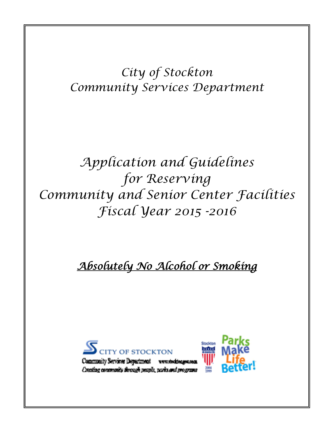*City of Stockton Community Services Department*

# *Application and Guidelines for Reserving Community and Senior Center Facilities Fiscal Year 2015 -2016*

## *Absolutely No Alcohol or Smoking*



Community Services Department www.steaktea Creating concrements through people, parks and programs

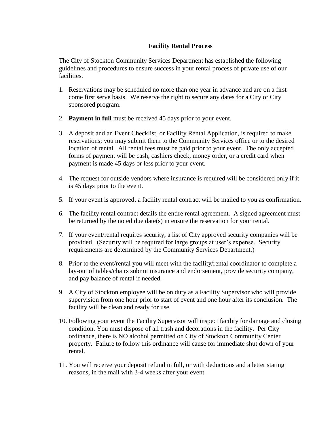#### **Facility Rental Process**

The City of Stockton Community Services Department has established the following guidelines and procedures to ensure success in your rental process of private use of our facilities.

- 1. Reservations may be scheduled no more than one year in advance and are on a first come first serve basis. We reserve the right to secure any dates for a City or City sponsored program.
- 2. **Payment in full** must be received 45 days prior to your event.
- 3. A deposit and an Event Checklist, or Facility Rental Application, is required to make reservations; you may submit them to the Community Services office or to the desired location of rental. All rental fees must be paid prior to your event. The only accepted forms of payment will be cash, cashiers check, money order, or a credit card when payment is made 45 days or less prior to your event.
- 4. The request for outside vendors where insurance is required will be considered only if it is 45 days prior to the event.
- 5. If your event is approved, a facility rental contract will be mailed to you as confirmation.
- 6. The facility rental contract details the entire rental agreement. A signed agreement must be returned by the noted due date(s) in ensure the reservation for your rental.
- 7. If your event/rental requires security, a list of City approved security companies will be provided. (Security will be required for large groups at user's expense. Security requirements are determined by the Community Services Department.)
- 8. Prior to the event/rental you will meet with the facility/rental coordinator to complete a lay-out of tables/chairs submit insurance and endorsement, provide security company, and pay balance of rental if needed.
- 9. A City of Stockton employee will be on duty as a Facility Supervisor who will provide supervision from one hour prior to start of event and one hour after its conclusion. The facility will be clean and ready for use.
- 10. Following your event the Facility Supervisor will inspect facility for damage and closing condition. You must dispose of all trash and decorations in the facility. Per City ordinance, there is NO alcohol permitted on City of Stockton Community Center property. Failure to follow this ordinance will cause for immediate shut down of your rental.
- 11. You will receive your deposit refund in full, or with deductions and a letter stating reasons, in the mail with 3-4 weeks after your event.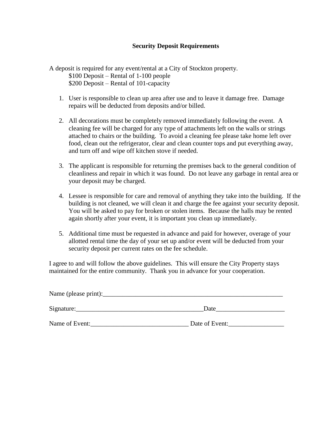#### **Security Deposit Requirements**

A deposit is required for any event/rental at a City of Stockton property. \$100 Deposit – Rental of 1-100 people \$200 Deposit – Rental of 101-capacity

- 1. User is responsible to clean up area after use and to leave it damage free. Damage repairs will be deducted from deposits and/or billed.
- 2. All decorations must be completely removed immediately following the event. A cleaning fee will be charged for any type of attachments left on the walls or strings attached to chairs or the building. To avoid a cleaning fee please take home left over food, clean out the refrigerator, clear and clean counter tops and put everything away, and turn off and wipe off kitchen stove if needed.
- 3. The applicant is responsible for returning the premises back to the general condition of cleanliness and repair in which it was found. Do not leave any garbage in rental area or your deposit may be charged.
- 4. Lessee is responsible for care and removal of anything they take into the building. If the building is not cleaned, we will clean it and charge the fee against your security deposit. You will be asked to pay for broken or stolen items. Because the halls may be rented again shortly after your event, it is important you clean up immediately.
- 5. Additional time must be requested in advance and paid for however, overage of your allotted rental time the day of your set up and/or event will be deducted from your security deposit per current rates on the fee schedule.

I agree to and will follow the above guidelines. This will ensure the City Property stays maintained for the entire community. Thank you in advance for your cooperation.

| Name (please print): |                |
|----------------------|----------------|
| Signature:           | Date           |
| Name of Event:       | Date of Event: |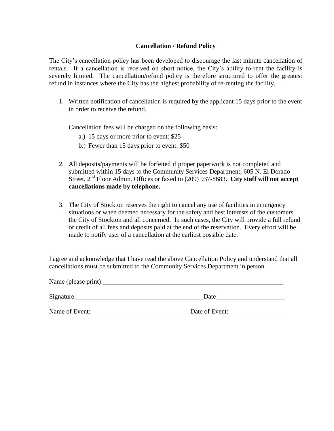#### **Cancellation / Refund Policy**

The City's cancellation policy has been developed to discourage the last minute cancellation of rentals. If a cancellation is received on short notice, the City's ability to-rent the facility is severely limited. The cancellation/refund policy is therefore structured to offer the greatest refund in instances where the City has the highest probability of re-renting the facility.

1. Written notification of cancellation is required by the applicant 15 days prior to the event in order to receive the refund.

Cancellation fees will be charged on the following basis:

a.) 15 days or more prior to event: \$25

 $N_{\text{0}}$  (please print):

- b.) Fewer than 15 days prior to event: \$50
- 2. All deposits/payments will be forfeited if proper paperwork is not completed and submitted within 15 days to the Community Services Department, 605 N. El Dorado Street, 2nd Floor Admin. Offices or faxed to (209) 937-8683**. City staff will not accept cancellations made by telephone.**
- 3. The City of Stockton reserves the right to cancel any use of facilities in emergency situations or when deemed necessary for the safety and best interests of the customers the City of Stockton and all concerned. In such cases, the City will provide a full refund or credit of all fees and deposits paid at the end of the reservation. Every effort will be made to notify user of a cancellation at the earliest possible date.

I agree and acknowledge that I have read the above Cancellation Policy and understand that all cancellations must be submitted to the Community Services Department in person.

| $\Gamma$ vann $\cup$ (prease princ). _____ |                |
|--------------------------------------------|----------------|
| Signature:                                 | Date           |
| Name of Event:                             | Date of Event: |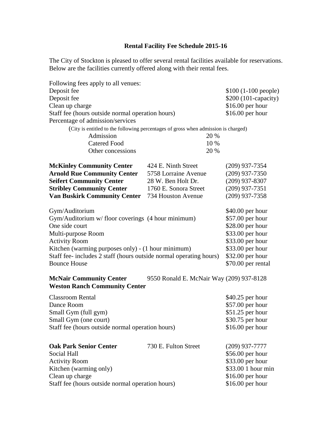### **Rental Facility Fee Schedule 2015-16**

The City of Stockton is pleased to offer several rental facilities available for reservations. Below are the facilities currently offered along with their rental fees.

| Following fees apply to all venues:                                    |                                                                                    |                  |  |
|------------------------------------------------------------------------|------------------------------------------------------------------------------------|------------------|--|
| Deposit fee                                                            | $$100 (1-100 people)$                                                              |                  |  |
| Deposit fee                                                            | \$200 (101-capacity)                                                               |                  |  |
| Clean up charge                                                        | $$16.00$ per hour<br>\$16.00 per hour                                              |                  |  |
| Staff fee (hours outside normal operation hours)                       |                                                                                    |                  |  |
| Percentage of admission/services                                       |                                                                                    |                  |  |
|                                                                        | (City is entitled to the following percentages of gross when admission is charged) |                  |  |
| Admission                                                              |                                                                                    |                  |  |
| <b>Catered Food</b><br>10 %                                            |                                                                                    |                  |  |
| Other concessions                                                      | 20 %                                                                               |                  |  |
| <b>McKinley Community Center</b>                                       | 424 E. Ninth Street                                                                | $(209)$ 937-7354 |  |
| <b>Arnold Rue Community Center</b>                                     | 5758 Lorraine Avenue                                                               | $(209)$ 937-7350 |  |
| <b>Seifert Community Center</b>                                        | 28 W. Ben Holt Dr.                                                                 | $(209)$ 937-8307 |  |
| <b>Stribley Community Center</b>                                       | 1760 E. Sonora Street                                                              | $(209)$ 937-7351 |  |
| <b>Van Buskirk Community Center</b>                                    | 734 Houston Avenue                                                                 | (209) 937-7358   |  |
| Gym/Auditorium                                                         |                                                                                    | \$40.00 per hour |  |
| Gym/Auditorium w/ floor coverings (4 hour minimum)                     | \$57.00 per hour                                                                   |                  |  |
| One side court                                                         |                                                                                    | \$28.00 per hour |  |
| Multi-purpose Room                                                     |                                                                                    | \$33.00 per hour |  |
| <b>Activity Room</b>                                                   | \$33.00 per hour                                                                   |                  |  |
| Kitchen (warming purposes only) - (1 hour minimum)                     | \$33.00 per hour                                                                   |                  |  |
| Staff fee-includes 2 staff (hours outside normal operating hours)      | \$32.00 per hour                                                                   |                  |  |
| <b>Bounce House</b>                                                    | \$70.00 per rental                                                                 |                  |  |
| <b>McNair Community Center</b><br><b>Weston Ranch Community Center</b> | 9550 Ronald E. McNair Way (209) 937-8128                                           |                  |  |
| <b>Classroom Rental</b>                                                | \$40.25 per hour                                                                   |                  |  |
| Dance Room                                                             | \$57.00 per hour                                                                   |                  |  |
| Small Gym (full gym)                                                   | \$51.25 per hour                                                                   |                  |  |
| Small Gym (one court)                                                  | \$30.75 per hour                                                                   |                  |  |
| Staff fee (hours outside normal operation hours)                       | $$16.00$ per hour                                                                  |                  |  |
|                                                                        |                                                                                    |                  |  |
| <b>Oak Park Senior Center</b>                                          | 730 E. Fulton Street                                                               | $(209)$ 937-7777 |  |
| Social Hall                                                            |                                                                                    | \$56.00 per hour |  |
| <b>Activity Room</b>                                                   | \$33.00 per hour                                                                   |                  |  |
| Kitchen (warming only)                                                 | \$33.00 1 hour min                                                                 |                  |  |
| Clean up charge                                                        | \$16.00 per hour                                                                   |                  |  |
| Staff fee (hours outside normal operation hours)                       | $$16.00$ per hour                                                                  |                  |  |
|                                                                        |                                                                                    |                  |  |